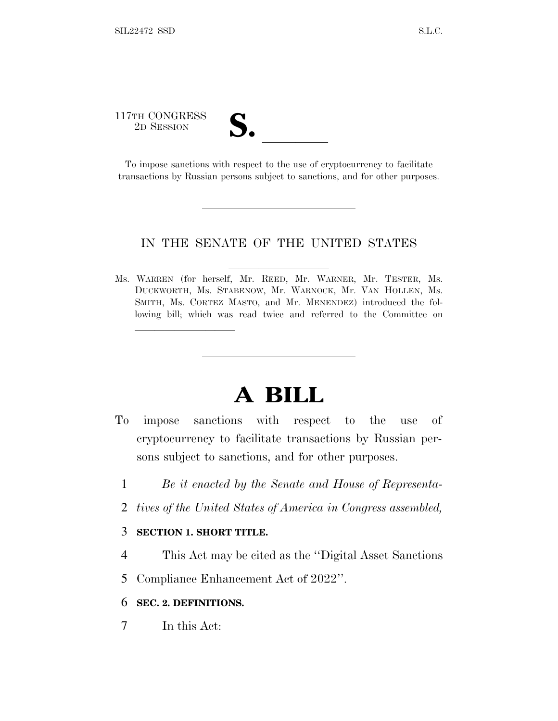# 117TH CONGRESS TTH CONGRESS<br>
2D SESSION<br>
To impose sanctions with respect to the use of cryptocurrency to facilitate

lla se anno 1920, a constituída a constituída a constituída a constituída a constituída a constituída a consti<br>En 1920, a constituída a constituída a constituída a constituída a constituída a constituída a constituída a c

transactions by Russian persons subject to sanctions, and for other purposes.

#### IN THE SENATE OF THE UNITED STATES

Ms. WARREN (for herself, Mr. REED, Mr. WARNER, Mr. TESTER, Ms. DUCKWORTH, Ms. STABENOW, Mr. WARNOCK, Mr. VAN HOLLEN, Ms. SMITH, Ms. CORTEZ MASTO, and Mr. MENENDEZ) introduced the following bill; which was read twice and referred to the Committee on

## **A BILL**

- To impose sanctions with respect to the use of cryptocurrency to facilitate transactions by Russian persons subject to sanctions, and for other purposes.
	- 1 *Be it enacted by the Senate and House of Representa-*
	- 2 *tives of the United States of America in Congress assembled,*

#### 3 **SECTION 1. SHORT TITLE.**

- 4 This Act may be cited as the ''Digital Asset Sanctions
- 5 Compliance Enhancement Act of 2022''.

### 6 **SEC. 2. DEFINITIONS.**

7 In this Act: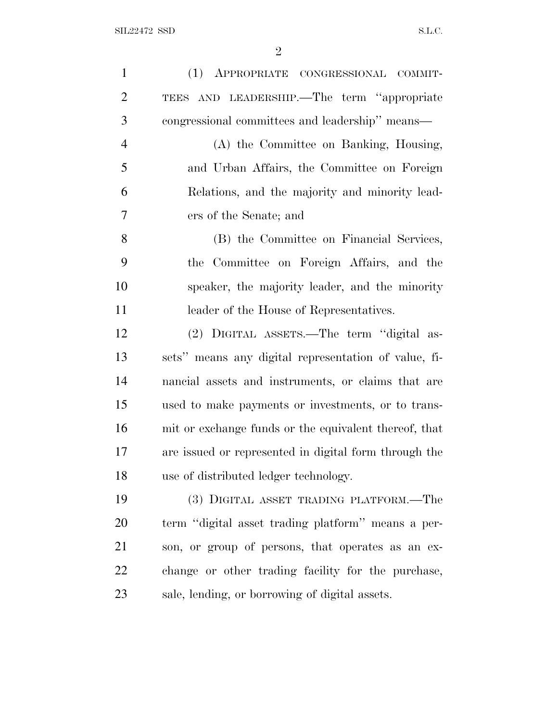| $\mathbf{1}$   | (1) APPROPRIATE CONGRESSIONAL COMMIT-                 |
|----------------|-------------------------------------------------------|
| $\overline{2}$ | TEES AND LEADERSHIP.—The term "appropriate            |
| 3              | congressional committees and leadership" means—       |
| $\overline{4}$ | (A) the Committee on Banking, Housing,                |
| 5              | and Urban Affairs, the Committee on Foreign           |
| 6              | Relations, and the majority and minority lead-        |
| 7              | ers of the Senate; and                                |
| 8              | (B) the Committee on Financial Services,              |
| 9              | the Committee on Foreign Affairs, and the             |
| 10             | speaker, the majority leader, and the minority        |
| 11             | leader of the House of Representatives.               |
| 12             | (2) DIGITAL ASSETS.—The term "digital as-             |
| 13             | sets" means any digital representation of value, fi-  |
| 14             | nancial assets and instruments, or claims that are    |
| 15             | used to make payments or investments, or to trans-    |
| 16             | mit or exchange funds or the equivalent thereof, that |
| 17             | are issued or represented in digital form through the |
| 18             | use of distributed ledger technology.                 |
| 19             | (3) DIGITAL ASSET TRADING PLATFORM.—The               |
| 20             | term "digital asset trading platform" means a per-    |
| 21             | son, or group of persons, that operates as an ex-     |
| 22             | change or other trading facility for the purchase,    |
| 23             | sale, lending, or borrowing of digital assets.        |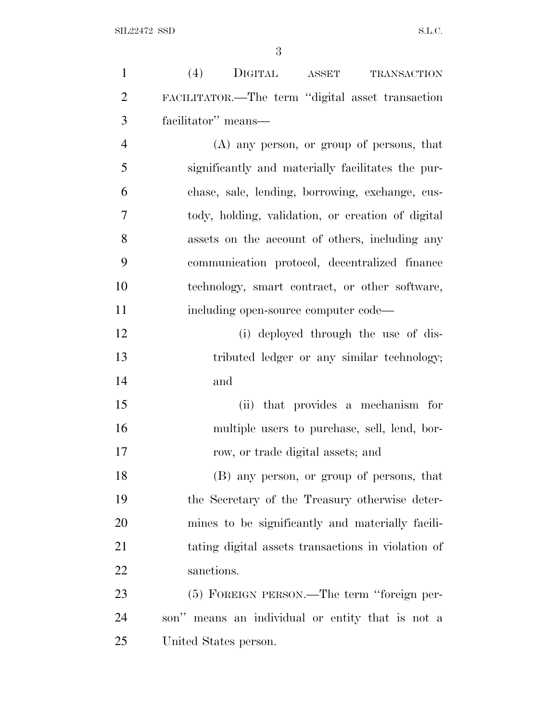| $\mathbf{1}$   | (4)<br>DIGITAL<br><b>ASSET</b><br><b>TRANSACTION</b> |
|----------------|------------------------------------------------------|
| $\overline{2}$ | FACILITATOR.—The term "digital asset transaction     |
| 3              | facilitator" means—                                  |
| $\overline{4}$ | (A) any person, or group of persons, that            |
| 5              | significantly and materially facilitates the pur-    |
| 6              | chase, sale, lending, borrowing, exchange, cus-      |
| 7              | tody, holding, validation, or creation of digital    |
| 8              | assets on the account of others, including any       |
| 9              | communication protocol, decentralized finance        |
| 10             | technology, smart contract, or other software,       |
| 11             | including open-source computer code—                 |
| 12             | (i) deployed through the use of dis-                 |
| 13             | tributed ledger or any similar technology;           |
| 14             | and                                                  |
| 15             | that provides a mechanism for<br>(ii)                |
| 16             | multiple users to purchase, sell, lend, bor-         |
| 17             | row, or trade digital assets; and                    |
| 18             | (B) any person, or group of persons, that            |
| 19             | the Secretary of the Treasury otherwise deter-       |
| 20             | mines to be significantly and materially facili-     |
| 21             | tating digital assets transactions in violation of   |
| 22             | sanctions.                                           |
| 23             | (5) FOREIGN PERSON.—The term "foreign per-           |
| 24             | son" means an individual or entity that is not a     |
| 25             | United States person.                                |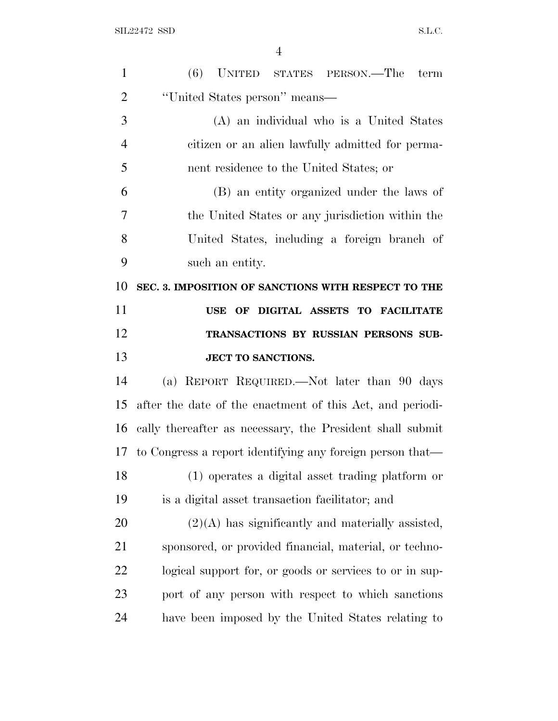| $\mathbf{1}$   | (6) UNITED STATES PERSON.—The term                        |
|----------------|-----------------------------------------------------------|
| $\overline{2}$ | "United States person" means—                             |
| 3              | (A) an individual who is a United States                  |
| $\overline{4}$ | citizen or an alien lawfully admitted for perma-          |
| 5              | nent residence to the United States; or                   |
| 6              | (B) an entity organized under the laws of                 |
| 7              | the United States or any jurisdiction within the          |
| 8              | United States, including a foreign branch of              |
| 9              | such an entity.                                           |
| 10             | SEC. 3. IMPOSITION OF SANCTIONS WITH RESPECT TO THE       |
| 11             | USE OF DIGITAL ASSETS TO FACILITATE                       |
| 12             | TRANSACTIONS BY RUSSIAN PERSONS SUB-                      |
|                |                                                           |
| 13             | <b>JECT TO SANCTIONS.</b>                                 |
| 14             | (a) REPORT REQUIRED.—Not later than 90 days               |
| 15             | after the date of the enactment of this Act, and periodi- |
| 16             | cally thereafter as necessary, the President shall submit |
| 17             | to Congress a report identifying any foreign person that— |
| 18             | (1) operates a digital asset trading platform or          |
| 19             | is a digital asset transaction facilitator; and           |
| 20             | $(2)(A)$ has significantly and materially assisted,       |
| 21             | sponsored, or provided financial, material, or techno-    |
| 22             | logical support for, or goods or services to or in sup-   |
| 23             | port of any person with respect to which sanctions        |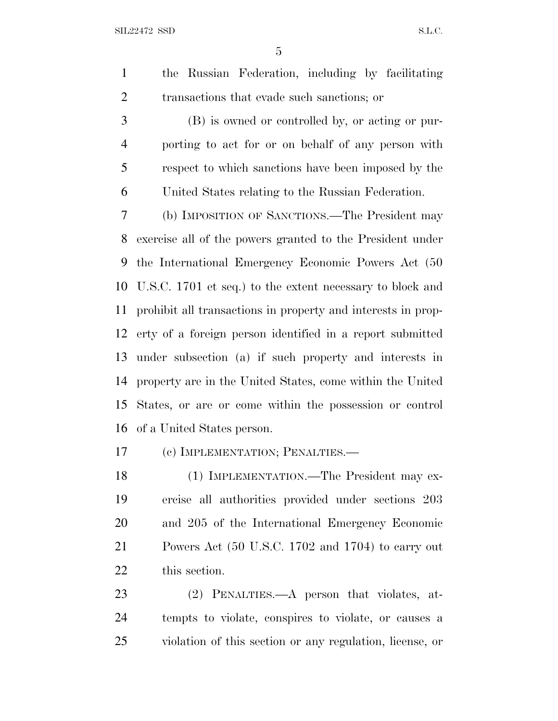the Russian Federation, including by facilitating transactions that evade such sanctions; or

 (B) is owned or controlled by, or acting or pur- porting to act for or on behalf of any person with respect to which sanctions have been imposed by the United States relating to the Russian Federation.

 (b) IMPOSITION OF SANCTIONS.—The President may exercise all of the powers granted to the President under the International Emergency Economic Powers Act (50 U.S.C. 1701 et seq.) to the extent necessary to block and prohibit all transactions in property and interests in prop- erty of a foreign person identified in a report submitted under subsection (a) if such property and interests in property are in the United States, come within the United States, or are or come within the possession or control of a United States person.

(c) IMPLEMENTATION; PENALTIES.—

 (1) IMPLEMENTATION.—The President may ex- ercise all authorities provided under sections 203 and 205 of the International Emergency Economic Powers Act (50 U.S.C. 1702 and 1704) to carry out this section.

 (2) PENALTIES.—A person that violates, at- tempts to violate, conspires to violate, or causes a violation of this section or any regulation, license, or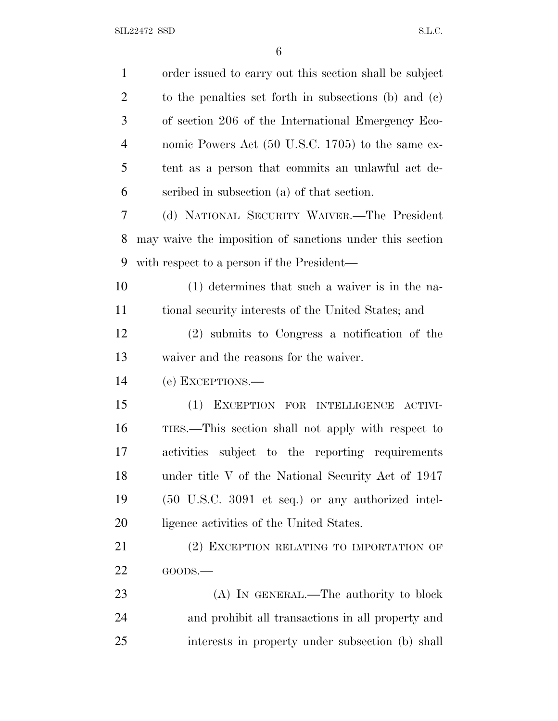| $\mathbf{1}$   | order issued to carry out this section shall be subject  |
|----------------|----------------------------------------------------------|
| $\overline{2}$ | to the penalties set forth in subsections (b) and $(c)$  |
| 3              | of section 206 of the International Emergency Eco-       |
| $\overline{4}$ | nomic Powers Act (50 U.S.C. 1705) to the same ex-        |
| 5              | tent as a person that commits an unlawful act de-        |
| 6              | scribed in subsection (a) of that section.               |
| 7              | (d) NATIONAL SECURITY WAIVER.—The President              |
| 8              | may waive the imposition of sanctions under this section |
| 9              | with respect to a person if the President—               |
| 10             | (1) determines that such a waiver is in the na-          |
| 11             | tional security interests of the United States; and      |
| 12             | (2) submits to Congress a notification of the            |
| 13             | waiver and the reasons for the waiver.                   |
| 14             | (e) EXCEPTIONS.—                                         |
| 15             | (1)<br>EXCEPTION FOR INTELLIGENCE<br>ACTIVI-             |
| 16             | TIES.—This section shall not apply with respect to       |
| 17             | activities subject to the reporting requirements         |
| 18             | under title V of the National Security Act of 1947       |
| 19             | (50 U.S.C. 3091 et seq.) or any authorized intel-        |
| 20             | ligence activities of the United States.                 |
| 21             | (2) EXCEPTION RELATING TO IMPORTATION OF                 |
| 22             | GOODS.                                                   |
| 23             | (A) IN GENERAL.—The authority to block                   |
| 24             | and prohibit all transactions in all property and        |
| 25             | interests in property under subsection (b) shall         |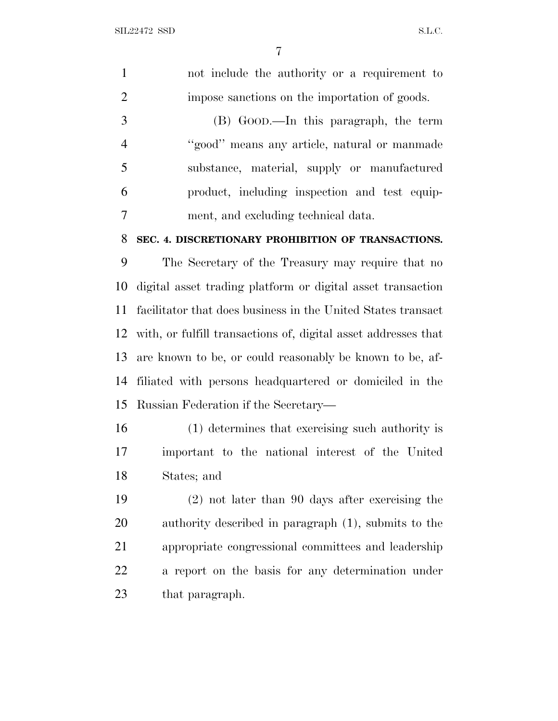| $\mathbf{1}$   | not include the authority or a requirement to                  |
|----------------|----------------------------------------------------------------|
| $\overline{2}$ | impose sanctions on the importation of goods.                  |
| 3              | (B) GOOD.—In this paragraph, the term                          |
| $\overline{4}$ | "good" means any article, natural or manmade                   |
| 5              | substance, material, supply or manufactured                    |
| 6              | product, including inspection and test equip-                  |
| $\overline{7}$ | ment, and excluding technical data.                            |
| 8              | SEC. 4. DISCRETIONARY PROHIBITION OF TRANSACTIONS.             |
| 9              | The Secretary of the Treasury may require that no              |
| 10             | digital asset trading platform or digital asset transaction    |
| 11             | facilitator that does business in the United States transact   |
| 12             | with, or fulfill transactions of, digital asset addresses that |
| 13             | are known to be, or could reasonably be known to be, af-       |
| 14             | filiated with persons headquartered or domiciled in the        |
| 15             | Russian Federation if the Secretary-                           |
| 16             | (1) determines that exercising such authority is               |
| 17             | important to the national interest of the United               |
| 18             | States; and                                                    |
| 19             | $(2)$ not later than 90 days after exercising the              |
| 20             | authority described in paragraph (1), submits to the           |
| 21             | appropriate congressional committees and leadership            |
| 22             | a report on the basis for any determination under              |
|                |                                                                |

that paragraph.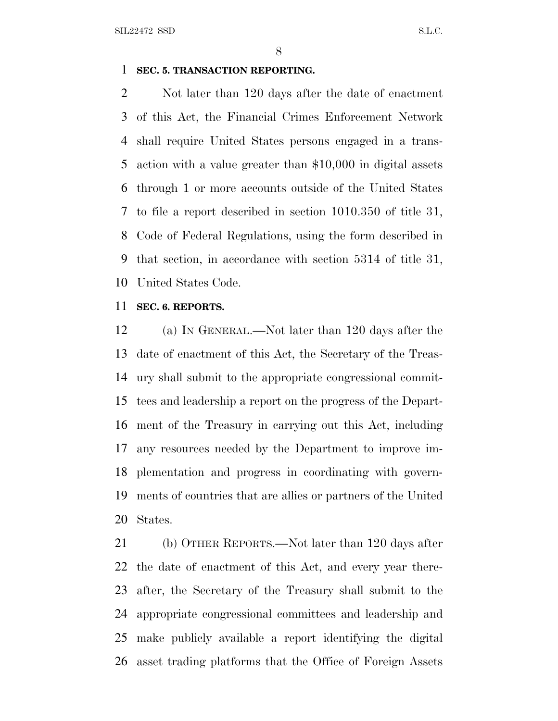SIL22472 SSD S.L.C.

### **SEC. 5. TRANSACTION REPORTING.**

 Not later than 120 days after the date of enactment of this Act, the Financial Crimes Enforcement Network shall require United States persons engaged in a trans- action with a value greater than \$10,000 in digital assets through 1 or more accounts outside of the United States to file a report described in section 1010.350 of title 31, Code of Federal Regulations, using the form described in that section, in accordance with section 5314 of title 31, United States Code.

#### **SEC. 6. REPORTS.**

 (a) I<sup>N</sup> GENERAL.—Not later than 120 days after the date of enactment of this Act, the Secretary of the Treas- ury shall submit to the appropriate congressional commit- tees and leadership a report on the progress of the Depart- ment of the Treasury in carrying out this Act, including any resources needed by the Department to improve im- plementation and progress in coordinating with govern- ments of countries that are allies or partners of the United States.

 (b) OTHER REPORTS.—Not later than 120 days after the date of enactment of this Act, and every year there- after, the Secretary of the Treasury shall submit to the appropriate congressional committees and leadership and make publicly available a report identifying the digital asset trading platforms that the Office of Foreign Assets